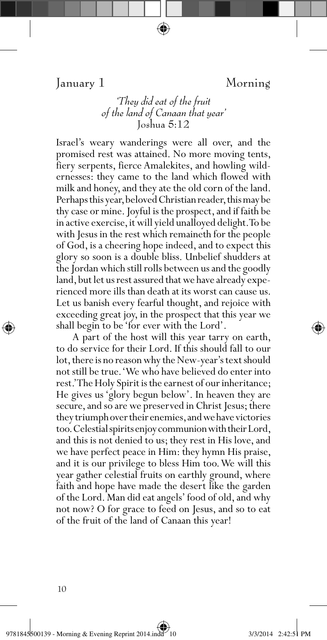January 1 Morning

# *'They did eat of the fruit of the land of Canaan that year'*  Joshua 5:12

◈

Israel's weary wanderings were all over, and the promised rest was attained. No more moving tents, fiery serpents, fierce Amalekites, and howling wildernesses: they came to the land which flowed with milk and honey, and they ate the old corn of the land. Perhaps this year, beloved Christian reader, this may be thy case or mine. Joyful is the prospect, and if faith be in active exercise, it will yield unalloyed delight. To be with Jesus in the rest which remaineth for the people of God, is a cheering hope indeed, and to expect this glory so soon is a double bliss. Unbelief shudders at the Jordan which still rolls between us and the goodly land, but let us rest assured that we have already experienced more ills than death at its worst can cause us. Let us banish every fearful thought, and rejoice with exceeding great joy, in the prospect that this year we shall begin to be 'for ever with the Lord'.

A part of the host will this year tarry on earth, to do service for their Lord. If this should fall to our lot, there is no reason why the New-year's text should not still be true. 'We who have believed do enter into rest.' The Holy Spirit is the earnest of our inheritance; He gives us 'glory begun below'. In heaven they are secure, and so are we preserved in Christ Jesus; there they triumph over their enemies, and we have victories too. Celestial spirits enjoy communion with their Lord, and this is not denied to us; they rest in His love, and we have perfect peace in Him: they hymn His praise, and it is our privilege to bless Him too. We will this year gather celestial fruits on earthly ground, where faith and hope have made the desert like the garden of the Lord. Man did eat angels' food of old, and why not now? O for grace to feed on Jesus, and so to eat of the fruit of the land of Canaan this year!

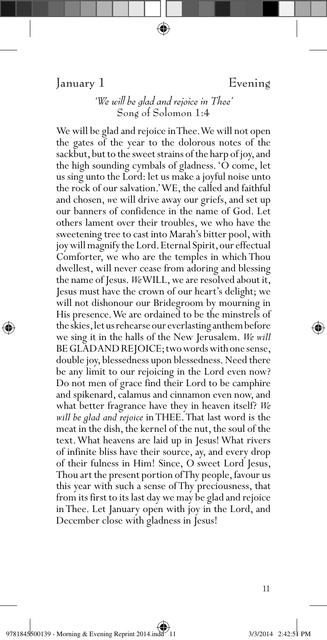January 1 Evening

## *'We will be glad and rejoice in Thee'*  Song of Solomon 1:4

◈

We will be glad and rejoice in Thee. We will not open the gates of the year to the dolorous notes of the sackbut, but to the sweet strains of the harp of joy, and the high sounding cymbals of gladness. 'O come, let us sing unto the Lord: let us make a joyful noise unto the rock of our salvation.' WE, the called and faithful and chosen, *w*e will drive away our griefs, and set up our banners of confidence in the name of God. Let others lament over their troubles, we who have the sweetening tree to cast into Marah's bitter pool, with joy will magnify the Lord. Eternal Spirit, our effectual Comforter, we who are the temples in which Thou dwellest, will never cease from adoring and blessing the name of Jesus. *We* WILL, we are resolved about it, Jesus must have the crown of our heart's delight; we will not dishonour our Bridegroom by mourning in His presence. We are ordained to be the minstrels of the skies, let us rehearse our everlasting anthem before we sing it in the halls of the New Jerusalem. *We will* BE GLAD AND REJOICE; two words with one sense, double joy, blessedness upon blessedness. Need there be any limit to our rejoicing in the Lord even now? Do not men of grace find their Lord to be camphire and spikenard, calamus and cinnamon even now, and what better fragrance have they in heaven itself? *We will be glad and rejoice* in THEE. That last word is the meat in the dish, the kernel of the nut, the soul of the text. What heavens are laid up in Jesus! What rivers of infinite bliss have their source, ay, and every drop of their fulness in Him! Since, O sweet Lord Jesus, Thou art the present portion of Thy people, favour us this year with such a sense of Thy preciousness, that from its first to its last day we may be glad and rejoice in Thee. Let January open with joy in the Lord, and December close with gladness in Jesus!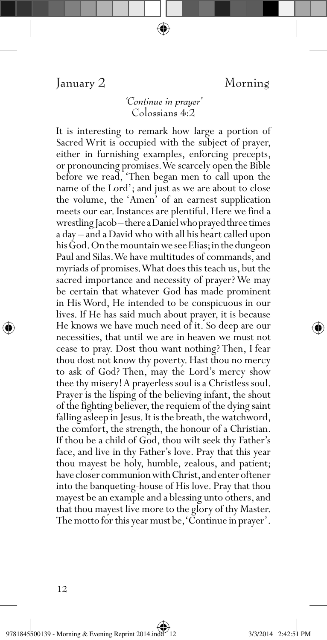January 2 Morning

### *'Continue in prayer'*  Colossians 4:2

◈

It is interesting to remark how large a portion of Sacred Writ is occupied with the subject of prayer, either in furnishing examples, enforcing precepts, or pronouncing promises. We scarcely open the Bible before we read, 'Then began men to call upon the name of the Lord'; and just as we are about to close the volume, the 'Amen' of an earnest supplication meets our ear. Instances are plentiful. Here we find a wrestling Jacob – there a Daniel who prayed three times a day – and a David who with all his heart called upon his God. On the mountain we see Elias; in the dungeon Paul and Silas. We have multitudes of commands, and myriads of promises. What does this teach us, but the sacred importance and necessity of prayer? We may be certain that whatever God has made prominent in His Word, He intended to be conspicuous in our lives. If He has said much about prayer, it is because He knows we have much need of it. So deep are our necessities, that until we are in heaven we must not cease to pray. Dost thou want nothing? Then, I fear thou dost not know thy poverty. Hast thou no mercy to ask of God? Then, may the Lord's mercy show thee thy misery! A prayerless soul is a Christless soul. Prayer is the lisping of the believing infant, the shout of the fighting believer, the requiem of the dying saint falling asleep in Jesus. It is the breath, the watchword, the comfort, the strength, the honour of a Christian. If thou be a child of God, thou wilt seek thy Father's face, and live in thy Father's love. Pray that this year thou mayest be holy, humble, zealous, and patient; have closer communion with Christ, and enter oftener into the banqueting-house of His love. Pray that thou mayest be an example and a blessing unto others, and that thou mayest live more to the glory of thy Master. The motto for this year must be, 'Continue in prayer'.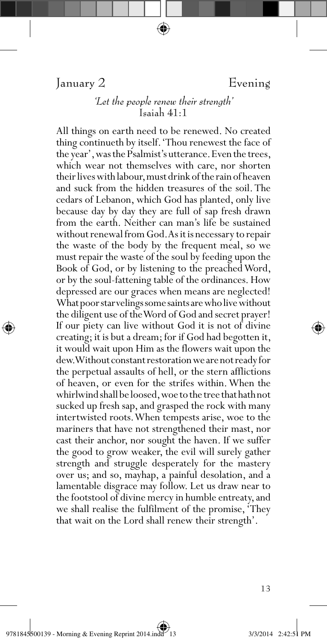January 2 Evening

## *'Let the people renew their strength'*  Isaiah 41:1

◈

All things on earth need to be renewed. No created thing continueth by itself. 'Thou renewest the face of the year', was the Psalmist's utterance. Even the trees, which wear not themselves with care, nor shorten their lives with labour, must drink of the rain of heaven and suck from the hidden treasures of the soil. The cedars of Lebanon, which God has planted, only live because day by day they are full of sap fresh drawn from the earth. Neither can man's life be sustained without renewal from God. As it is necessary to repair the waste of the body by the frequent meal, so we must repair the waste of the soul by feeding upon the Book of God, or by listening to the preached Word, or by the soul-fattening table of the ordinances. How depressed are our graces when means are neglected! What poor starvelings some saints are who live without the diligent use of the Word of God and secret prayer! If our piety can live without God it is not of divine creating; it is but a dream; for if God had begotten it, it would wait upon Him as the flowers wait upon the dew. Without constant restoration we are not ready for the perpetual assaults of hell, or the stern afflictions of heaven, or even for the strifes within. When the whirlwind shall be loosed, woe to the tree that hath not sucked up fresh sap, and grasped the rock with many intertwisted roots. When tempests arise, woe to the mariners that have not strengthened their mast, nor cast their anchor, nor sought the haven. If we suffer the good to grow weaker, the evil will surely gather strength and struggle desperately for the mastery over us; and so, mayhap, a painful desolation, and a lamentable disgrace may follow. Let us draw near to the footstool of divine mercy in humble entreaty, and we shall realise the fulfilment of the promise, 'They that wait on the Lord shall renew their strength'.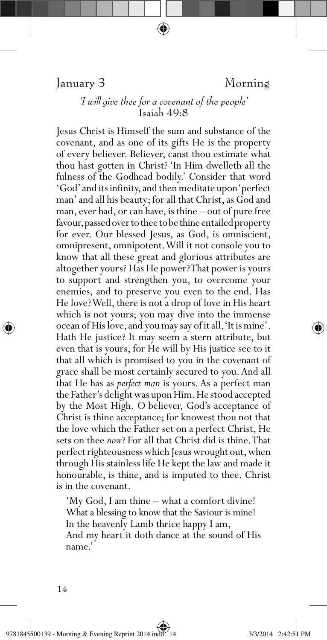January 3 Morning

*'I will give thee for a covenant of the people'*  Isaiah 49:8

◈

Jesus Christ is Himself the sum and substance of the covenant, and as one of its gifts He is the property of every believer. Believer, canst thou estimate what thou hast gotten in Christ? 'In Him dwelleth all the fulness of the Godhead bodily.' Consider that word 'God' and its infinity, and then meditate upon 'perfect man' and all his beauty; for all that Christ, as God and man, ever had, or can have, is thine – out of pure free favour, passed over to thee to be thine entailed property for ever. Our blessed Jesus, as God, is omniscient, omnipresent, omnipotent. Will it not console you to know that all these great and glorious attributes are altogether yours? Has He power? That power is yours to support and strengthen you, to overcome your enemies, and to preserve you even to the end. Has He love? Well, there is not a drop of love in His heart which is not yours; you may dive into the immense ocean of His love, and you may say of it all, 'It is mine'. Hath He justice? It may seem a stern attribute, but even that is yours, for He will by His justice see to it that all which is promised to you in the covenant of grace shall be most certainly secured to you. And all that He has as *perfect man* is yours. As a perfect man the Father's delight was upon Him. He stood accepted by the Most High. O believer, God's acceptance of Christ is thine acceptance; for knowest thou not that the love which the Father set on a perfect Christ, He sets on thee *now*? For all that Christ did is thine. That perfect righteousness which Jesus wrought out, when through His stainless life He kept the law and made it honourable, is thine, and is imputed to thee. Christ is in the covenant.

'My God, I am thine – what a comfort divine! What a blessing to know that the Saviour is mine! In the heavenly Lamb thrice happy I am, And my heart it doth dance at the sound of His name.'

14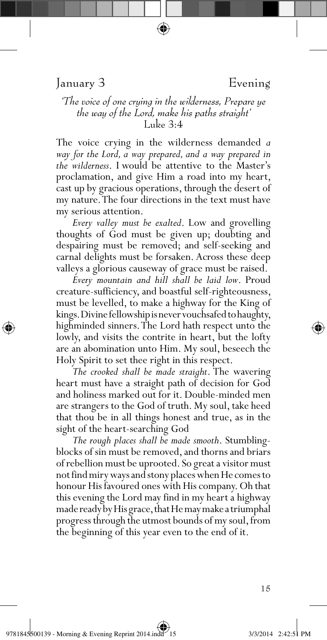January 3 Evening

*'The voice of one crying in the wilderness, Prepare ye the way of the Lord, make his paths straight'*  Luke 3:4

◈

The voice crying in the wilderness demanded *a way for the Lord, a way prepared, and a way prepared in the wilderness*. I would be attentive to the Master's proclamation, and give Him a road into my heart, cast up by gracious operations, through the desert of my nature. The four directions in the text must have my serious attention.

*Every valley must be exalted*. Low and grovelling thoughts of God must be given up; doubting and despairing must be removed; and self-seeking and carnal delights must be forsaken. Across these deep valleys a glorious causeway of grace must be raised.

*Every mountain and hill shall be laid low*. Proud creature-sufficiency, and boastful self-righteousness, must be levelled, to make a highway for the King of kings. Divine fellowship is never vouchsafed to haughty, highminded sinners. The Lord hath respect unto the lowly, and visits the contrite in heart, but the lofty are an abomination unto Him. My soul, beseech the Holy Spirit to set thee right in this respect.

*The crooked shall be made straight*. The wavering heart must have a straight path of decision for God and holiness marked out for it. Double-minded men are strangers to the God of truth. My soul, take heed that thou be in all things honest and true, as in the sight of the heart-searching God

*The rough places shall be made smooth*. Stumblingblocks of sin must be removed, and thorns and briars of rebellion must be uprooted. So great a visitor must not find miry ways and stony places when He comes to honour His favoured ones with His company. Oh that this evening the Lord may find in my heart a highway made ready by His grace, that He may make a triumphal progress through the utmost bounds of my soul, from the beginning of this year even to the end of it.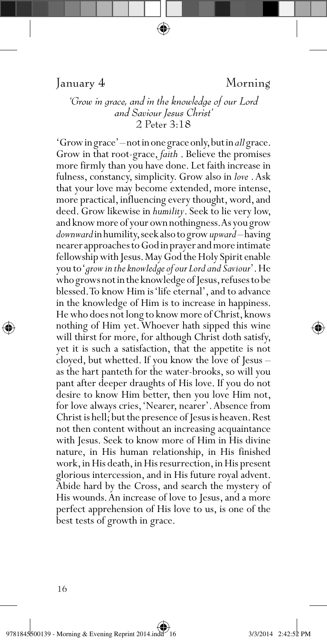January 4 Morning

*'Grow in grace, and in the knowledge of our Lord and Saviour Jesus Christ'*  2 Peter 3:18

◈

'Grow in grace' – not in one grace only, but in *all* grace. Grow in that root-grace, *faith* . Believe the promises more firmly than you have done. Let faith increase in fulness, constancy, simplicity. Grow also in *love* . Ask that your love may become extended, more intense, more practical, influencing every thought, word, and deed. Grow likewise in *humility*. Seek to lie very low, and know more of your own nothingness. As you grow *downward* in humility, seek also to grow *upward* – having nearer approaches to God in prayer and more intimate fellowship with Jesus. May God the Holy Spirit enable you to '*grow in the knowledge of our Lord and Saviour*'. He who grows not in the knowledge of Jesus, refuses to be blessed. To know Him is 'life eternal', and to advance in the knowledge of Him is to increase in happiness. He who does not long to know more of Christ, knows nothing of Him yet. Whoever hath sipped this wine will thirst for more, for although Christ doth satisfy, yet it is such a satisfaction, that the appetite is not cloyed, but whetted. If you know the love of Jesus – as the hart panteth for the water-brooks, so will you pant after deeper draughts of His love. If you do not desire to know Him better, then you love Him not, for love always cries, 'Nearer, nearer'. Absence from Christ is hell; but the presence of Jesus is heaven. Rest not then content without an increasing acquaintance with Jesus. Seek to know more of Him in His divine nature, in His human relationship, in His finished work, in His death, in His resurrection, in His present glorious intercession, and in His future royal advent. Abide hard by the Cross, and search the mystery of His wounds. An increase of love to Jesus, and a more perfect apprehension of His love to us, is one of the best tests of growth in grace.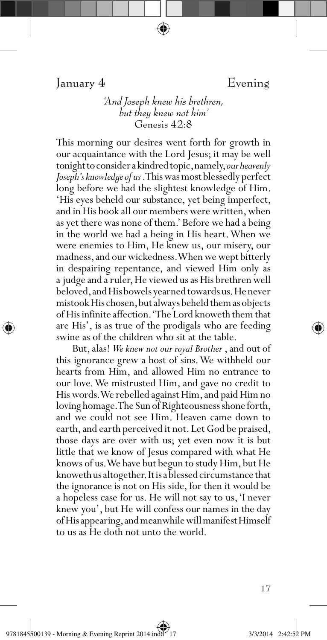January 4 Evening

# *'And Joseph knew his brethren, but they knew not him'*  Genesis 42:8

◈

This morning our desires went forth for growth in our acquaintance with the Lord Jesus; it may be well tonight to consider a kindred topic, namely, *our heavenly Joseph's knowledge of us* . This was most blessedly perfect long before we had the slightest knowledge of Him. 'His eyes beheld our substance, yet being imperfect, and in His book all our members were written, when as yet there was none of them.' Before we had a being in the world we had a being in His heart. When we were enemies to Him, He knew us, our misery, our madness, and our wickedness. When we wept bitterly in despairing repentance, and viewed Him only as a judge and a ruler, He viewed us as His brethren well beloved, and His bowels yearned towards us. He never mistook His chosen, but always beheld them as objects of His infinite affection. 'The Lord knoweth them that are His', is as true of the prodigals who are feeding swine as of the children who sit at the table.

But, alas! *We knew not our royal Brother* , and out of this ignorance grew a host of sins. We withheld our hearts from Him, and allowed Him no entrance to our love. We mistrusted Him, and gave no credit to His words. We rebelled against Him, and paid Him no loving homage. The Sun of Righteousness shone forth, and we could not see Him. Heaven came down to earth, and earth perceived it not. Let God be praised, those days are over with us; yet even now it is but little that we know of Jesus compared with what He knows of us. We have but begun to study Him, but He knoweth us altogether. It is a blessed circumstance that the ignorance is not on His side, for then it would be a hopeless case for us. He will not say to us, 'I never knew you', but He will confess our names in the day of His appearing, and meanwhile will manifest Himself to us as He doth not unto the world.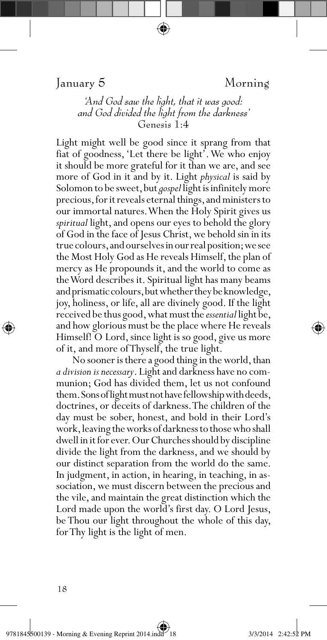January 5 Morning

*'And God saw the light, that it was good: and God divided the light from the darkness'*  Genesis 1:4

◈

Light might well be good since it sprang from that fiat of goodness, 'Let there be light'. We who enjoy it should be more grateful for it than we are, and see more of God in it and by it. Light *physical* is said by Solomon to be sweet, but *gospel* light is infinitely more precious, for it reveals eternal things, and ministers to our immortal natures. When the Holy Spirit gives us *spiritual* light, and opens our eyes to behold the glory of God in the face of Jesus Christ, we behold sin in its true colours, and ourselves in our real position; we see the Most Holy God as He reveals Himself, the plan of mercy as He propounds it, and the world to come as the Word describes it. Spiritual light has many beams and prismatic colours, but whether they be knowledge, joy, holiness, or life, all are divinely good. If the light received be thus good, what must the *essential* light be, and how glorious must be the place where He reveals Himself! O Lord, since light is so good, give us more of it, and more of Thyself, the true light.

No sooner is there a good thing in the world, than *a division is necessary*. Light and darkness have no communion; God has divided them, let us not confound them. Sons of light must not have fellowship with deeds, doctrines, or deceits of darkness. The children of the day must be sober, honest, and bold in their Lord's work, leaving the works of darkness to those who shall dwell in it for ever. Our Churches should by discipline divide the light from the darkness, and we should by our distinct separation from the world do the same. In judgment, in action, in hearing, in teaching, in association, we must discern between the precious and the vile, and maintain the great distinction which the Lord made upon the world's first day. O Lord Jesus, be Thou our light throughout the whole of this day, for Thy light is the light of men.